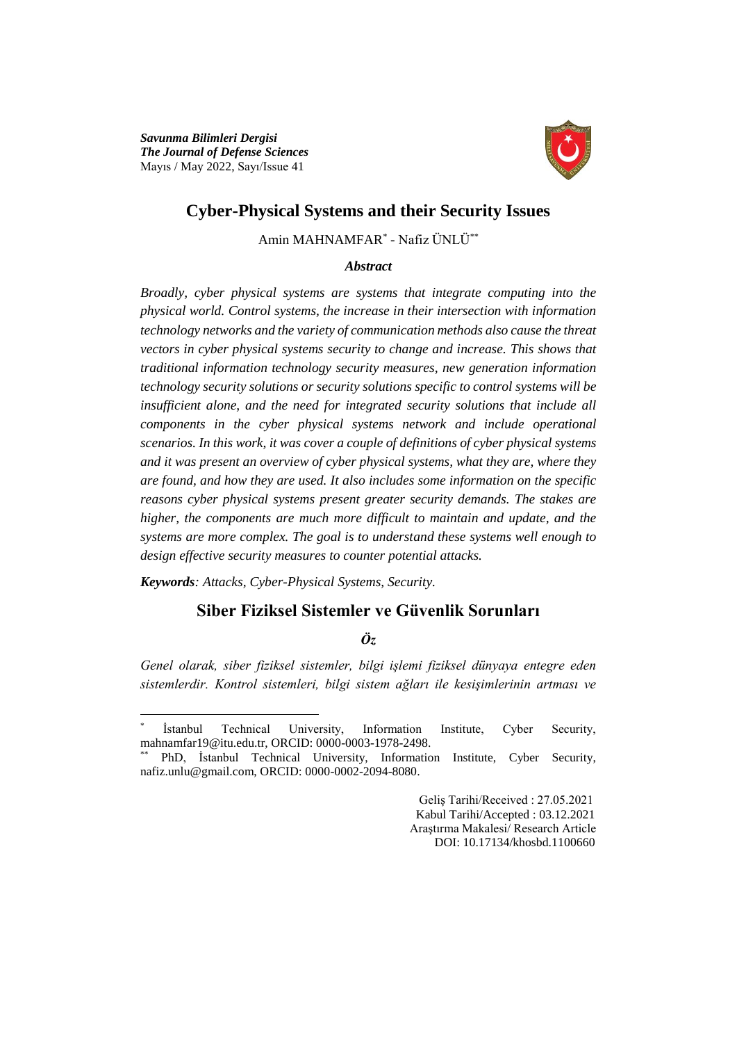*Savunma Bilimleri Dergisi The Journal of Defense Sciences* Mayıs / May 2022, Sayı/Issue 41



# **Cyber-Physical Systems and their Security Issues**

Amin MAHNAMFAR\* - Nafiz ÜNLÜ\*\*

### *Abstract*

*Broadly, cyber physical systems are systems that integrate computing into the physical world. Control systems, the increase in their intersection with information technology networks and the variety of communication methods also cause the threat vectors in cyber physical systems security to change and increase. This shows that traditional information technology security measures, new generation information technology security solutions or security solutions specific to control systems will be insufficient alone, and the need for integrated security solutions that include all components in the cyber physical systems network and include operational scenarios. In this work, it was cover a couple of definitions of cyber physical systems and it was present an overview of cyber physical systems, what they are, where they are found, and how they are used. It also includes some information on the specific reasons cyber physical systems present greater security demands. The stakes are higher, the components are much more difficult to maintain and update, and the systems are more complex. The goal is to understand these systems well enough to design effective security measures to counter potential attacks.*

*Keywords: Attacks, Cyber-Physical Systems, Security.*

 $\overline{a}$ 

# **Siber Fiziksel Sistemler ve Güvenlik Sorunları**

# *Öz*

*Genel olarak, siber fiziksel sistemler, bilgi işlemi fiziksel dünyaya entegre eden sistemlerdir. Kontrol sistemleri, bilgi sistem ağları ile kesişimlerinin artması ve* 

 Geliş Tarihi/Received : 27.05.2021 Kabul Tarihi/Accepted : 03.12.2021 Araştırma Makalesi/ Research Article DOI: 10.17134/khosbd.1100660

<sup>\*</sup> İstanbul Technical University, Information Institute, Cyber Security, mahnamfar19@itu.edu.tr, ORCID: 0000-0003-1978-2498.

<sup>\*\*</sup> PhD, İstanbul Technical University, Information Institute, Cyber Security, nafiz.unlu@gmail.com, ORCID: 0000-0002-2094-8080.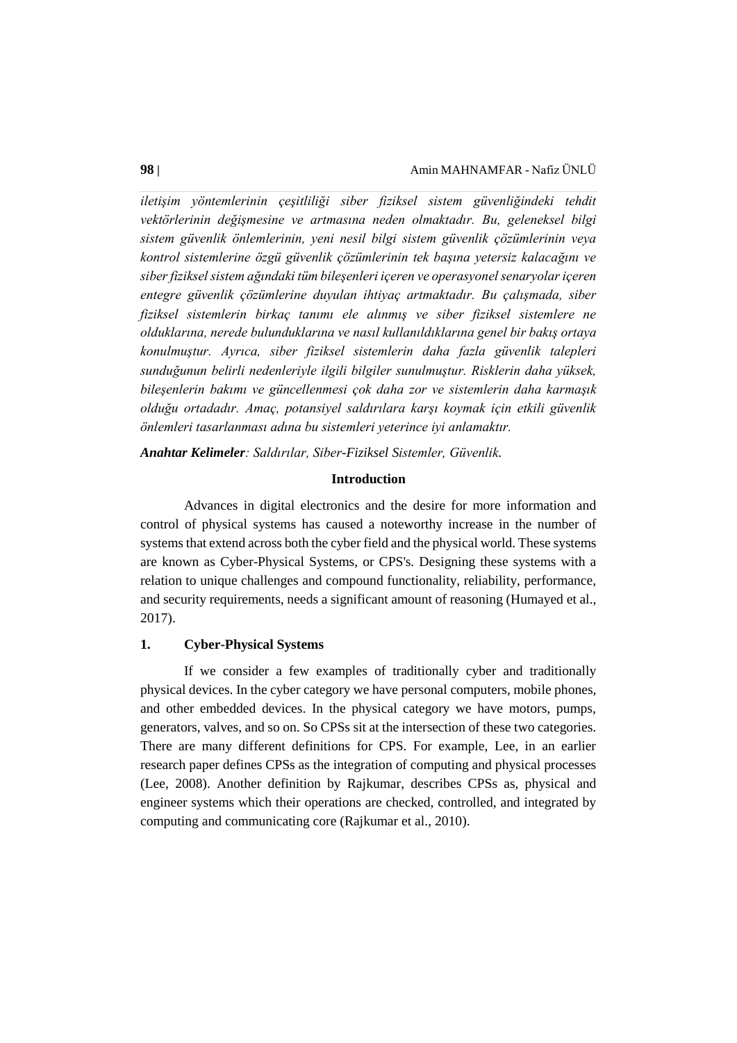*iletişim yöntemlerinin çeşitliliği siber fiziksel sistem güvenliğindeki tehdit vektörlerinin değişmesine ve artmasına neden olmaktadır. Bu, geleneksel bilgi sistem güvenlik önlemlerinin, yeni nesil bilgi sistem güvenlik çözümlerinin veya kontrol sistemlerine özgü güvenlik çözümlerinin tek başına yetersiz kalacağını ve siber fiziksel sistem ağındaki tüm bileşenleri içeren ve operasyonel senaryolar içeren entegre güvenlik çözümlerine duyulan ihtiyaç artmaktadır. Bu çalışmada, siber fiziksel sistemlerin birkaç tanımı ele alınmış ve siber fiziksel sistemlere ne olduklarına, nerede bulunduklarına ve nasıl kullanıldıklarına genel bir bakış ortaya konulmuştur. Ayrıca, siber fiziksel sistemlerin daha fazla güvenlik talepleri sunduğunun belirli nedenleriyle ilgili bilgiler sunulmuştur. Risklerin daha yüksek, bileşenlerin bakımı ve güncellenmesi çok daha zor ve sistemlerin daha karmaşık olduğu ortadadır. Amaç, potansiyel saldırılara karşı koymak için etkili güvenlik önlemleri tasarlanması adına bu sistemleri yeterince iyi anlamaktır.*

*Anahtar Kelimeler: Saldırılar, Siber-Fiziksel Sistemler, Güvenlik.*

#### **Introduction**

Advances in digital electronics and the desire for more information and control of physical systems has caused a noteworthy increase in the number of systems that extend across both the cyber field and the physical world. These systems are known as Cyber-Physical Systems, or CPS's. Designing these systems with a relation to unique challenges and compound functionality, reliability, performance, and security requirements, needs a significant amount of reasoning (Humayed et al., 2017).

# **1. Cyber-Physical Systems**

If we consider a few examples of traditionally cyber and traditionally physical devices. In the cyber category we have personal computers, mobile phones, and other embedded devices. In the physical category we have motors, pumps, generators, valves, and so on. So CPSs sit at the intersection of these two categories. There are many different definitions for CPS. For example, Lee, in an earlier research paper defines CPSs as the integration of computing and physical processes (Lee, 2008). Another definition by Rajkumar, describes CPSs as, physical and engineer systems which their operations are checked, controlled, and integrated by computing and communicating core (Rajkumar et al., 2010).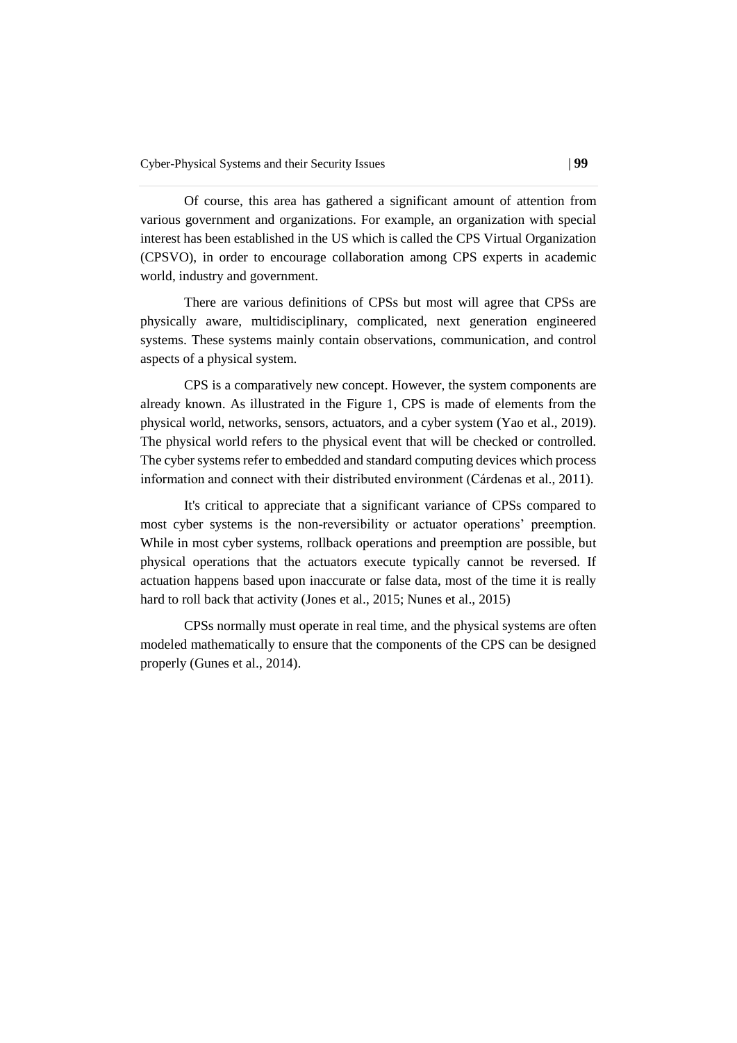Of course, this area has gathered a significant amount of attention from various government and organizations. For example, an organization with special interest has been established in the US which is called the CPS Virtual Organization (CPSVO), in order to encourage collaboration among CPS experts in academic world, industry and government.

There are various definitions of CPSs but most will agree that CPSs are physically aware, multidisciplinary, complicated, next generation engineered systems. These systems mainly contain observations, communication, and control aspects of a physical system.

CPS is a comparatively new concept. However, the system components are already known. As illustrated in the Figure 1, CPS is made of elements from the physical world, networks, sensors, actuators, and a cyber system (Yao et al., 2019). The physical world refers to the physical event that will be checked or controlled. The cyber systems refer to embedded and standard computing devices which process information and connect with their distributed environment (Cárdenas et al., 2011).

It's critical to appreciate that a significant variance of CPSs compared to most cyber systems is the non-reversibility or actuator operations' preemption. While in most cyber systems, rollback operations and preemption are possible, but physical operations that the actuators execute typically cannot be reversed. If actuation happens based upon inaccurate or false data, most of the time it is really hard to roll back that activity (Jones et al., 2015; Nunes et al., 2015)

CPSs normally must operate in real time, and the physical systems are often modeled mathematically to ensure that the components of the CPS can be designed properly (Gunes et al., 2014).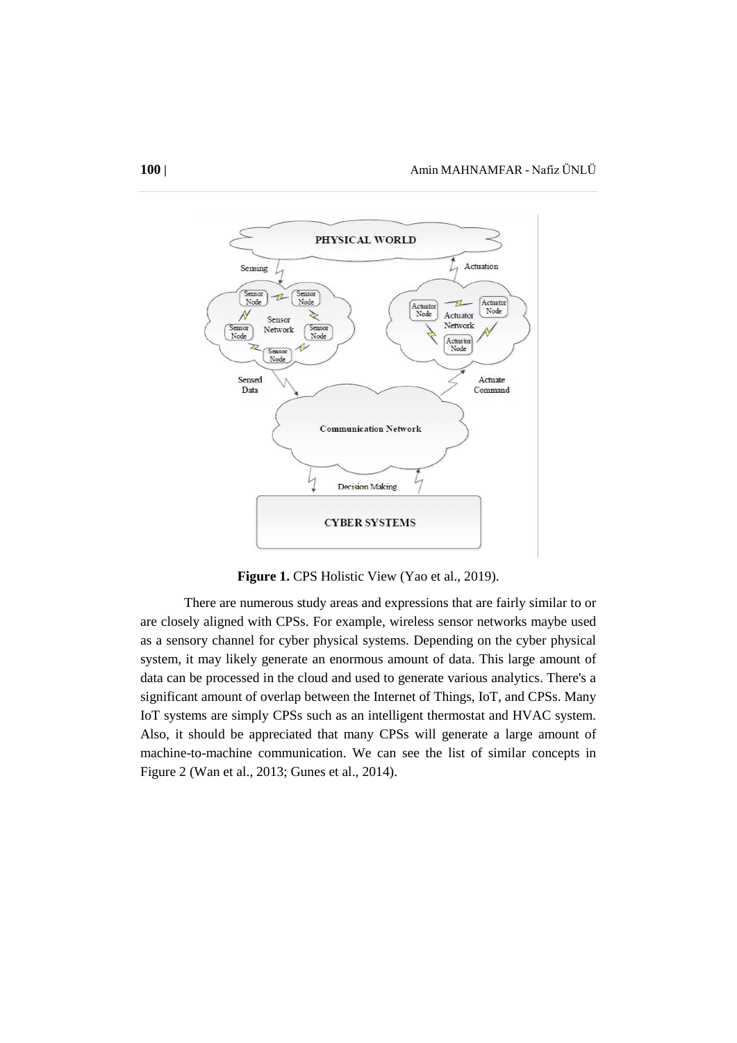

Figure 1. CPS Holistic View (Yao et al., 2019).

There are numerous study areas and expressions that are fairly similar to or are closely aligned with CPSs. For example, wireless sensor networks maybe used as a sensory channel for cyber physical systems. Depending on the cyber physical system, it may likely generate an enormous amount of data. This large amount of data can be processed in the cloud and used to generate various analytics. There's a significant amount of overlap between the Internet of Things, IoT, and CPSs. Many IoT systems are simply CPSs such as an intelligent thermostat and HVAC system. Also, it should be appreciated that many CPSs will generate a large amount of machine-to-machine communication. We can see the list of similar concepts in Figure 2 (Wan et al., 2013; Gunes et al., 2014).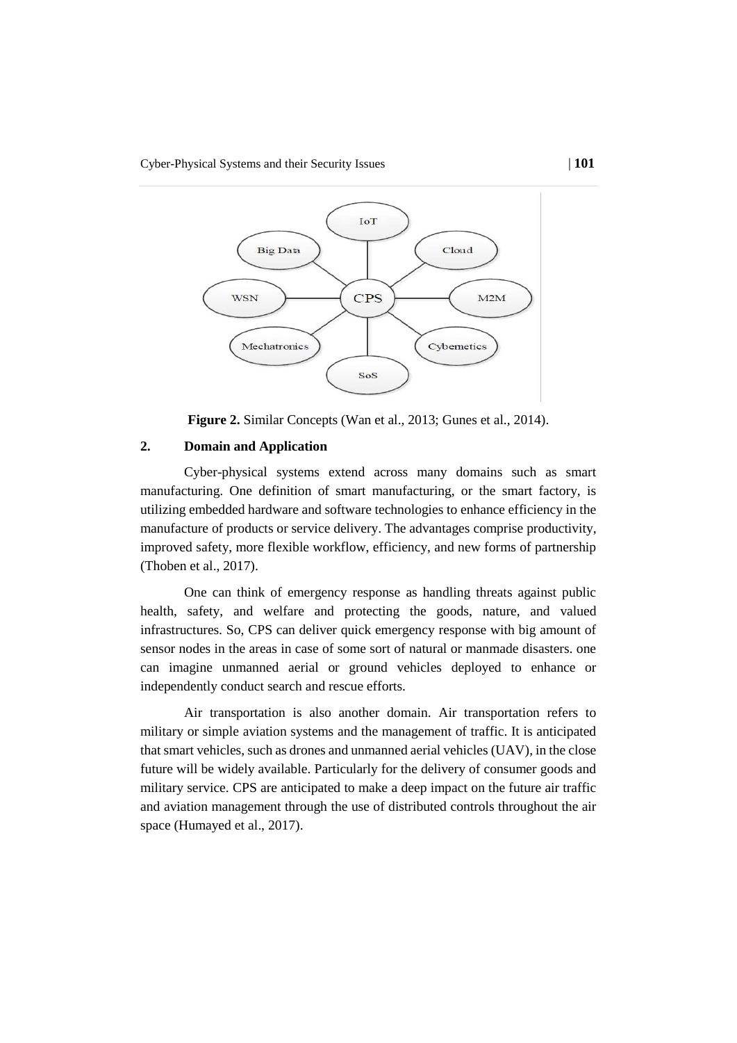

**Figure 2.** Similar Concepts (Wan et al., 2013; Gunes et al., 2014).

# **2. Domain and Application**

Cyber-physical systems extend across many domains such as smart manufacturing. One definition of smart manufacturing, or the smart factory, is utilizing embedded hardware and software technologies to enhance efficiency in the manufacture of products or service delivery. The advantages comprise productivity, improved safety, more flexible workflow, efficiency, and new forms of partnership (Thoben et al., 2017).

One can think of emergency response as handling threats against public health, safety, and welfare and protecting the goods, nature, and valued infrastructures. So, CPS can deliver quick emergency response with big amount of sensor nodes in the areas in case of some sort of natural or manmade disasters. one can imagine unmanned aerial or ground vehicles deployed to enhance or independently conduct search and rescue efforts.

Air transportation is also another domain. Air transportation refers to military or simple aviation systems and the management of traffic. It is anticipated that smart vehicles, such as drones and unmanned aerial vehicles (UAV), in the close future will be widely available. Particularly for the delivery of consumer goods and military service. CPS are anticipated to make a deep impact on the future air traffic and aviation management through the use of distributed controls throughout the air space (Humayed et al., 2017).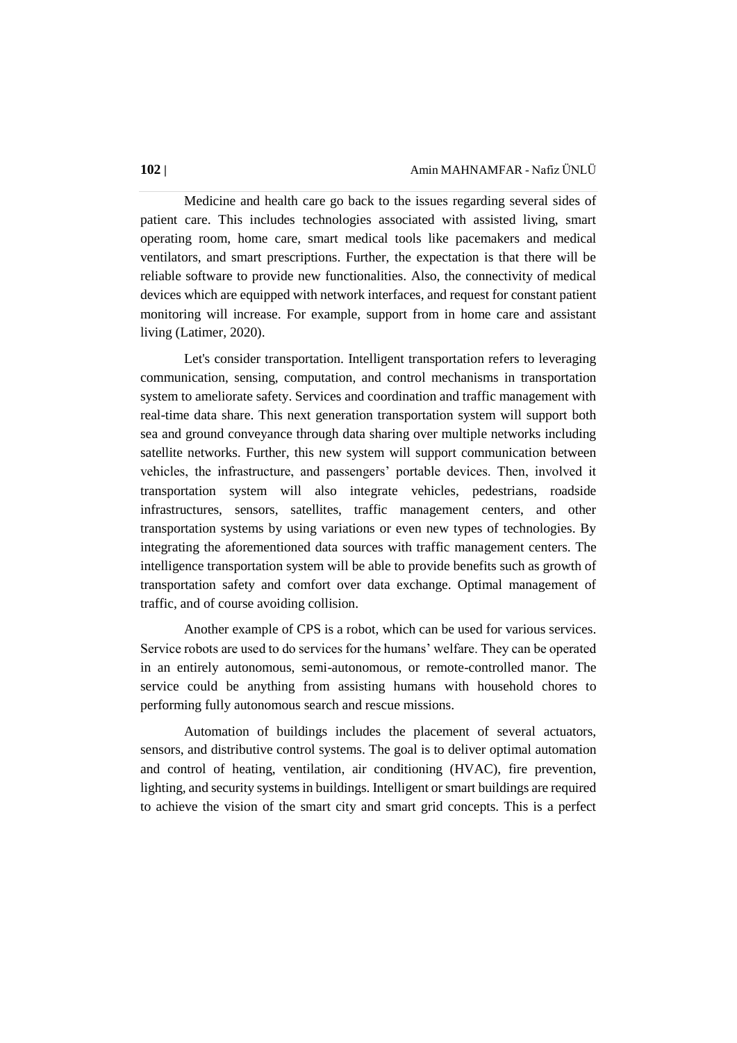Medicine and health care go back to the issues regarding several sides of patient care. This includes technologies associated with assisted living, smart operating room, home care, smart medical tools like pacemakers and medical ventilators, and smart prescriptions. Further, the expectation is that there will be reliable software to provide new functionalities. Also, the connectivity of medical devices which are equipped with network interfaces, and request for constant patient monitoring will increase. For example, support from in home care and assistant living (Latimer, 2020).

Let's consider transportation. Intelligent transportation refers to leveraging communication, sensing, computation, and control mechanisms in transportation system to ameliorate safety. Services and coordination and traffic management with real-time data share. This next generation transportation system will support both sea and ground conveyance through data sharing over multiple networks including satellite networks. Further, this new system will support communication between vehicles, the infrastructure, and passengers' portable devices. Then, involved it transportation system will also integrate vehicles, pedestrians, roadside infrastructures, sensors, satellites, traffic management centers, and other transportation systems by using variations or even new types of technologies. By integrating the aforementioned data sources with traffic management centers. The intelligence transportation system will be able to provide benefits such as growth of transportation safety and comfort over data exchange. Optimal management of traffic, and of course avoiding collision.

Another example of CPS is a robot, which can be used for various services. Service robots are used to do services for the humans' welfare. They can be operated in an entirely autonomous, semi-autonomous, or remote-controlled manor. The service could be anything from assisting humans with household chores to performing fully autonomous search and rescue missions.

Automation of buildings includes the placement of several actuators, sensors, and distributive control systems. The goal is to deliver optimal automation and control of heating, ventilation, air conditioning (HVAC), fire prevention, lighting, and security systems in buildings. Intelligent or smart buildings are required to achieve the vision of the smart city and smart grid concepts. This is a perfect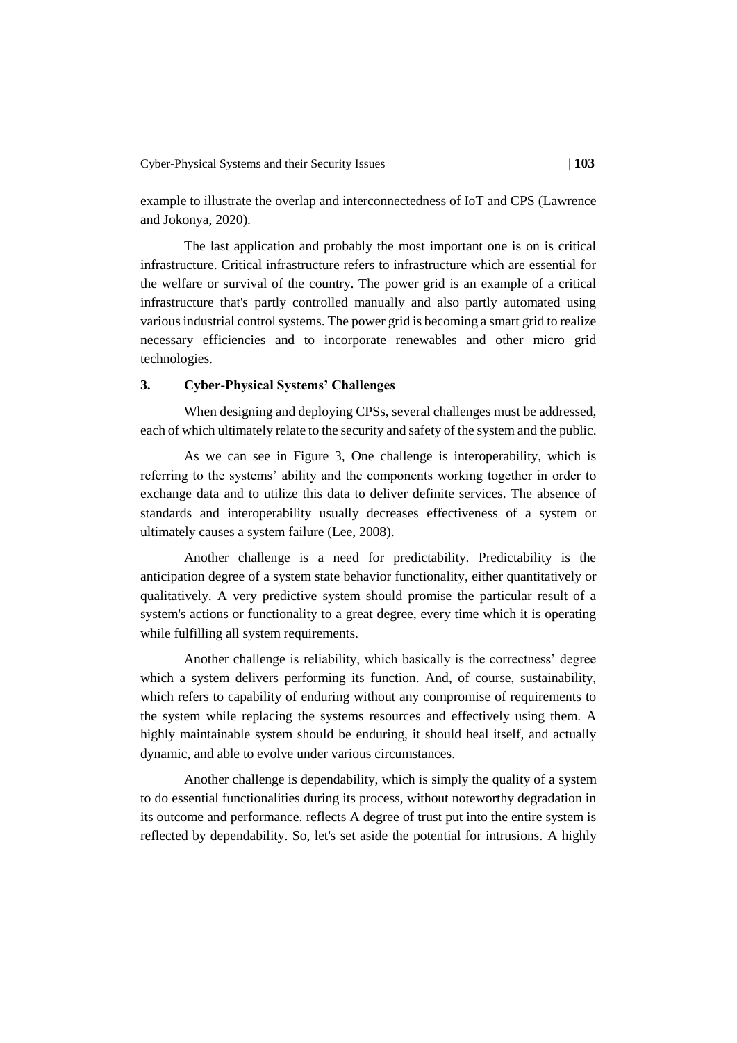example to illustrate the overlap and interconnectedness of IoT and CPS (Lawrence and Jokonya, 2020).

The last application and probably the most important one is on is critical infrastructure. Critical infrastructure refers to infrastructure which are essential for the welfare or survival of the country. The power grid is an example of a critical infrastructure that's partly controlled manually and also partly automated using various industrial control systems. The power grid is becoming a smart grid to realize necessary efficiencies and to incorporate renewables and other micro grid technologies.

### **3. Cyber-Physical Systems' Challenges**

When designing and deploying CPSs, several challenges must be addressed, each of which ultimately relate to the security and safety of the system and the public.

As we can see in Figure 3, One challenge is interoperability, which is referring to the systems' ability and the components working together in order to exchange data and to utilize this data to deliver definite services. The absence of standards and interoperability usually decreases effectiveness of a system or ultimately causes a system failure (Lee, 2008).

Another challenge is a need for predictability. Predictability is the anticipation degree of a system state behavior functionality, either quantitatively or qualitatively. A very predictive system should promise the particular result of a system's actions or functionality to a great degree, every time which it is operating while fulfilling all system requirements.

Another challenge is reliability, which basically is the correctness' degree which a system delivers performing its function. And, of course, sustainability, which refers to capability of enduring without any compromise of requirements to the system while replacing the systems resources and effectively using them. A highly maintainable system should be enduring, it should heal itself, and actually dynamic, and able to evolve under various circumstances.

Another challenge is dependability, which is simply the quality of a system to do essential functionalities during its process, without noteworthy degradation in its outcome and performance. reflects A degree of trust put into the entire system is reflected by dependability. So, let's set aside the potential for intrusions. A highly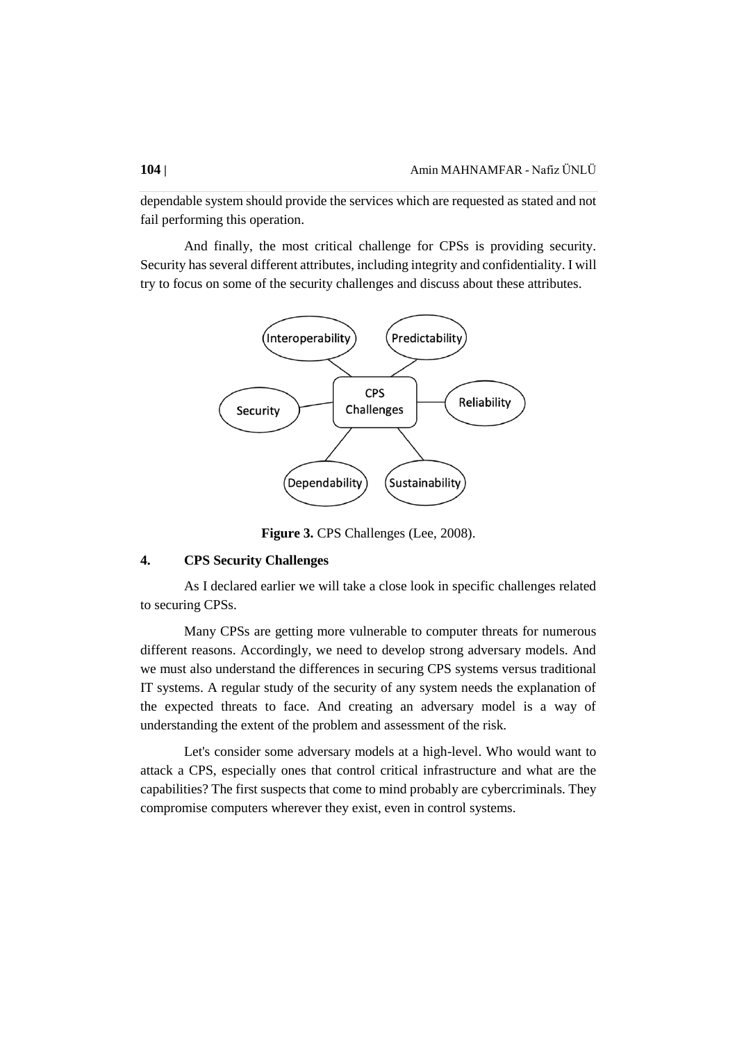dependable system should provide the services which are requested as stated and not fail performing this operation.

And finally, the most critical challenge for CPSs is providing security. Security has several different attributes, including integrity and confidentiality. I will try to focus on some of the security challenges and discuss about these attributes.



**Figure 3.** CPS Challenges (Lee, 2008).

### **4. CPS Security Challenges**

As I declared earlier we will take a close look in specific challenges related to securing CPSs.

Many CPSs are getting more vulnerable to computer threats for numerous different reasons. Accordingly, we need to develop strong adversary models. And we must also understand the differences in securing CPS systems versus traditional IT systems. A regular study of the security of any system needs the explanation of the expected threats to face. And creating an adversary model is a way of understanding the extent of the problem and assessment of the risk.

Let's consider some adversary models at a high-level. Who would want to attack a CPS, especially ones that control critical infrastructure and what are the capabilities? The first suspects that come to mind probably are cybercriminals. They compromise computers wherever they exist, even in control systems.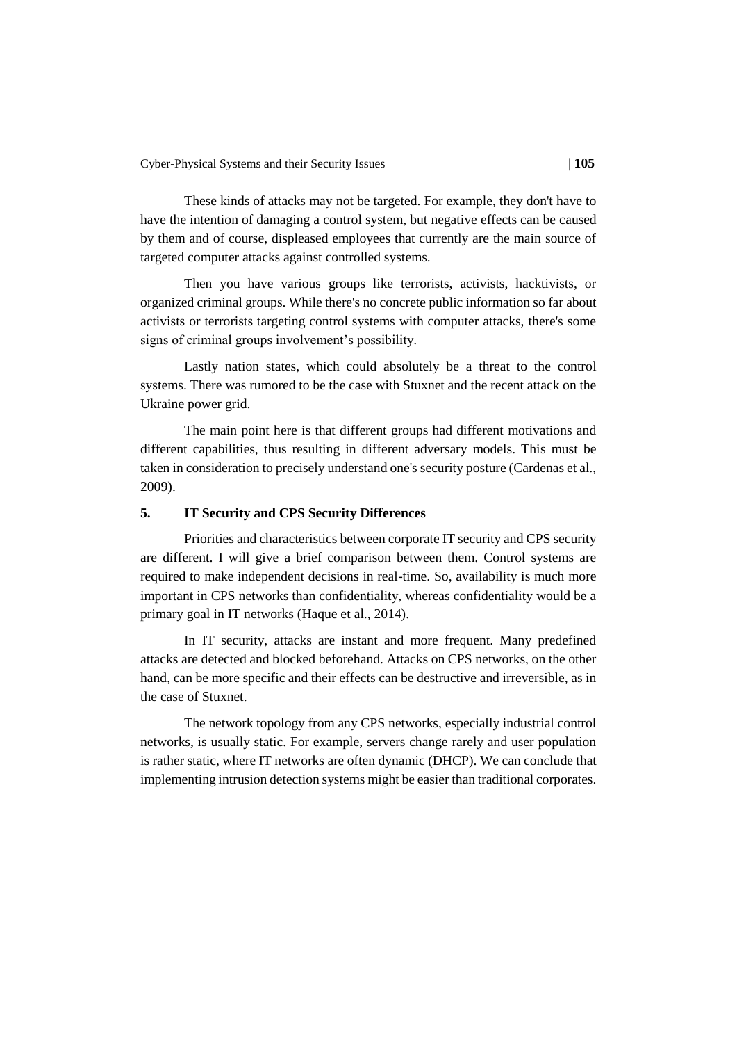These kinds of attacks may not be targeted. For example, they don't have to have the intention of damaging a control system, but negative effects can be caused by them and of course, displeased employees that currently are the main source of targeted computer attacks against controlled systems.

Then you have various groups like terrorists, activists, hacktivists, or organized criminal groups. While there's no concrete public information so far about activists or terrorists targeting control systems with computer attacks, there's some signs of criminal groups involvement's possibility.

Lastly nation states, which could absolutely be a threat to the control systems. There was rumored to be the case with Stuxnet and the recent attack on the Ukraine power grid.

The main point here is that different groups had different motivations and different capabilities, thus resulting in different adversary models. This must be taken in consideration to precisely understand one's security posture (Cardenas et al., 2009).

# **5. IT Security and CPS Security Differences**

Priorities and characteristics between corporate IT security and CPS security are different. I will give a brief comparison between them. Control systems are required to make independent decisions in real-time. So, availability is much more important in CPS networks than confidentiality, whereas confidentiality would be a primary goal in IT networks (Haque et al., 2014).

In IT security, attacks are instant and more frequent. Many predefined attacks are detected and blocked beforehand. Attacks on CPS networks, on the other hand, can be more specific and their effects can be destructive and irreversible, as in the case of Stuxnet.

The network topology from any CPS networks, especially industrial control networks, is usually static. For example, servers change rarely and user population is rather static, where IT networks are often dynamic (DHCP). We can conclude that implementing intrusion detection systems might be easier than traditional corporates.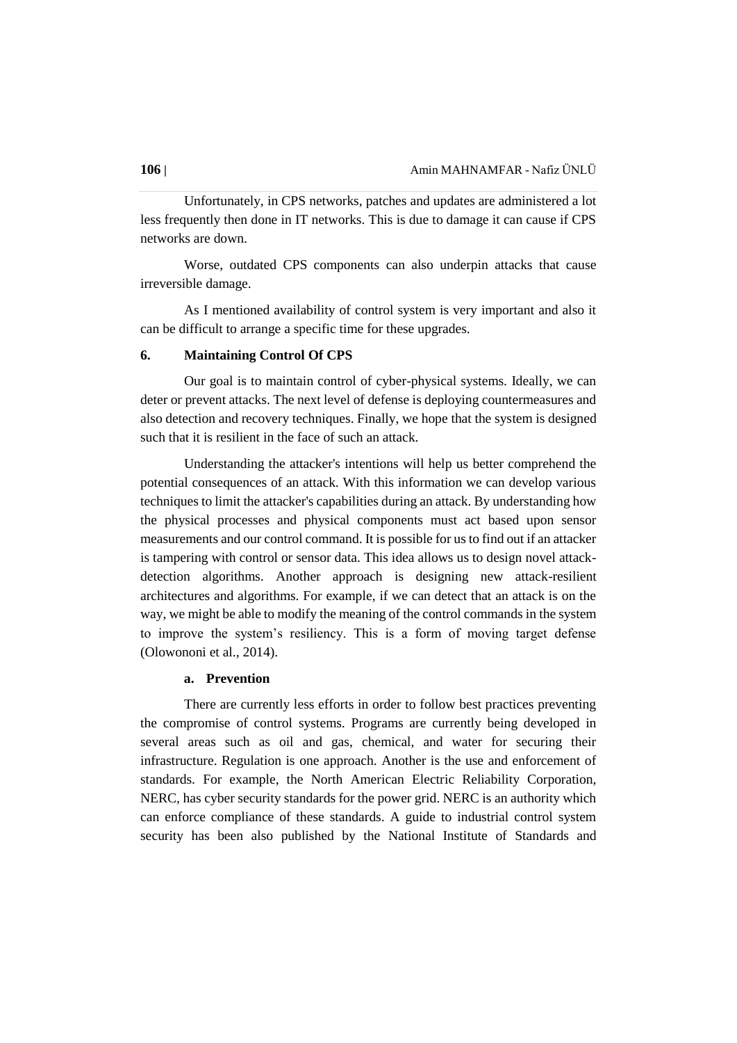Unfortunately, in CPS networks, patches and updates are administered a lot less frequently then done in IT networks. This is due to damage it can cause if CPS networks are down.

Worse, outdated CPS components can also underpin attacks that cause irreversible damage.

As I mentioned availability of control system is very important and also it can be difficult to arrange a specific time for these upgrades.

#### **6. Maintaining Control Of CPS**

Our goal is to maintain control of cyber-physical systems. Ideally, we can deter or prevent attacks. The next level of defense is deploying countermeasures and also detection and recovery techniques. Finally, we hope that the system is designed such that it is resilient in the face of such an attack.

Understanding the attacker's intentions will help us better comprehend the potential consequences of an attack. With this information we can develop various techniques to limit the attacker's capabilities during an attack. By understanding how the physical processes and physical components must act based upon sensor measurements and our control command. It is possible for us to find out if an attacker is tampering with control or sensor data. This idea allows us to design novel attackdetection algorithms. Another approach is designing new attack-resilient architectures and algorithms. For example, if we can detect that an attack is on the way, we might be able to modify the meaning of the control commands in the system to improve the system's resiliency. This is a form of moving target defense (Olowononi et al., 2014).

#### **a. Prevention**

There are currently less efforts in order to follow best practices preventing the compromise of control systems. Programs are currently being developed in several areas such as oil and gas, chemical, and water for securing their infrastructure. Regulation is one approach. Another is the use and enforcement of standards. For example, the North American Electric Reliability Corporation, NERC, has cyber security standards for the power grid. NERC is an authority which can enforce compliance of these standards. A guide to industrial control system security has been also published by the National Institute of Standards and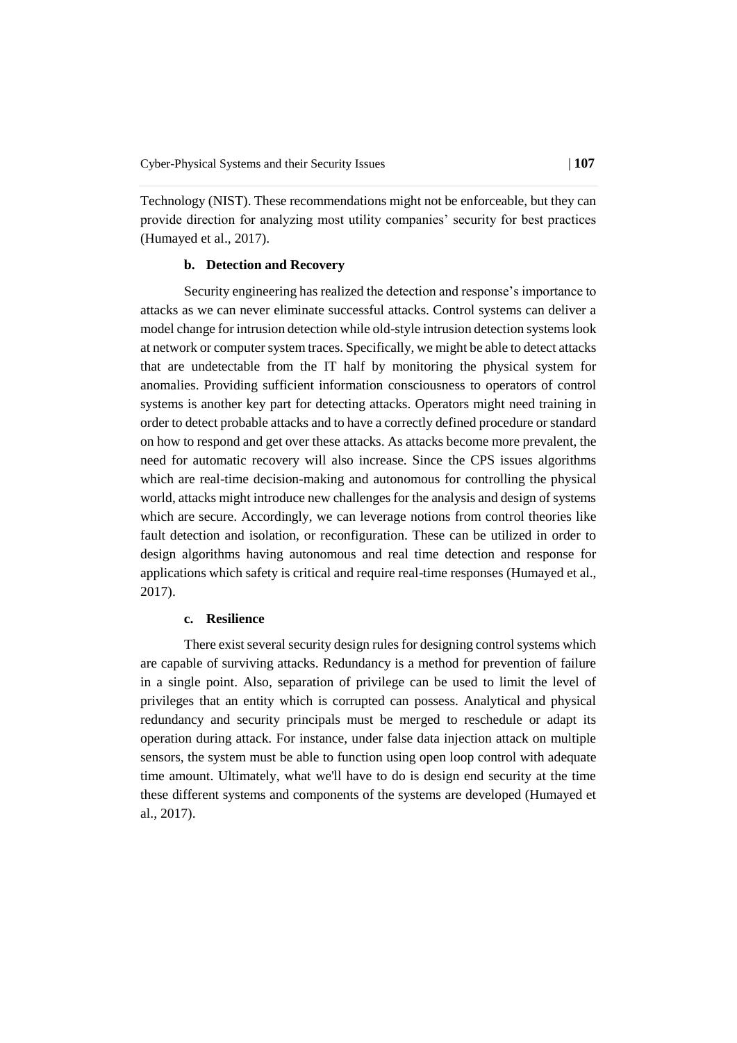Technology (NIST). These recommendations might not be enforceable, but they can provide direction for analyzing most utility companies' security for best practices (Humayed et al., 2017).

# **b. Detection and Recovery**

Security engineering has realized the detection and response's importance to attacks as we can never eliminate successful attacks. Control systems can deliver a model change for intrusion detection while old-style intrusion detection systems look at network or computer system traces. Specifically, we might be able to detect attacks that are undetectable from the IT half by monitoring the physical system for anomalies. Providing sufficient information consciousness to operators of control systems is another key part for detecting attacks. Operators might need training in order to detect probable attacks and to have a correctly defined procedure or standard on how to respond and get over these attacks. As attacks become more prevalent, the need for automatic recovery will also increase. Since the CPS issues algorithms which are real-time decision-making and autonomous for controlling the physical world, attacks might introduce new challenges for the analysis and design of systems which are secure. Accordingly, we can leverage notions from control theories like fault detection and isolation, or reconfiguration. These can be utilized in order to design algorithms having autonomous and real time detection and response for applications which safety is critical and require real-time responses (Humayed et al., 2017).

### **c. Resilience**

There exist several security design rules for designing control systems which are capable of surviving attacks. Redundancy is a method for prevention of failure in a single point. Also, separation of privilege can be used to limit the level of privileges that an entity which is corrupted can possess. Analytical and physical redundancy and security principals must be merged to reschedule or adapt its operation during attack. For instance, under false data injection attack on multiple sensors, the system must be able to function using open loop control with adequate time amount. Ultimately, what we'll have to do is design end security at the time these different systems and components of the systems are developed (Humayed et al., 2017).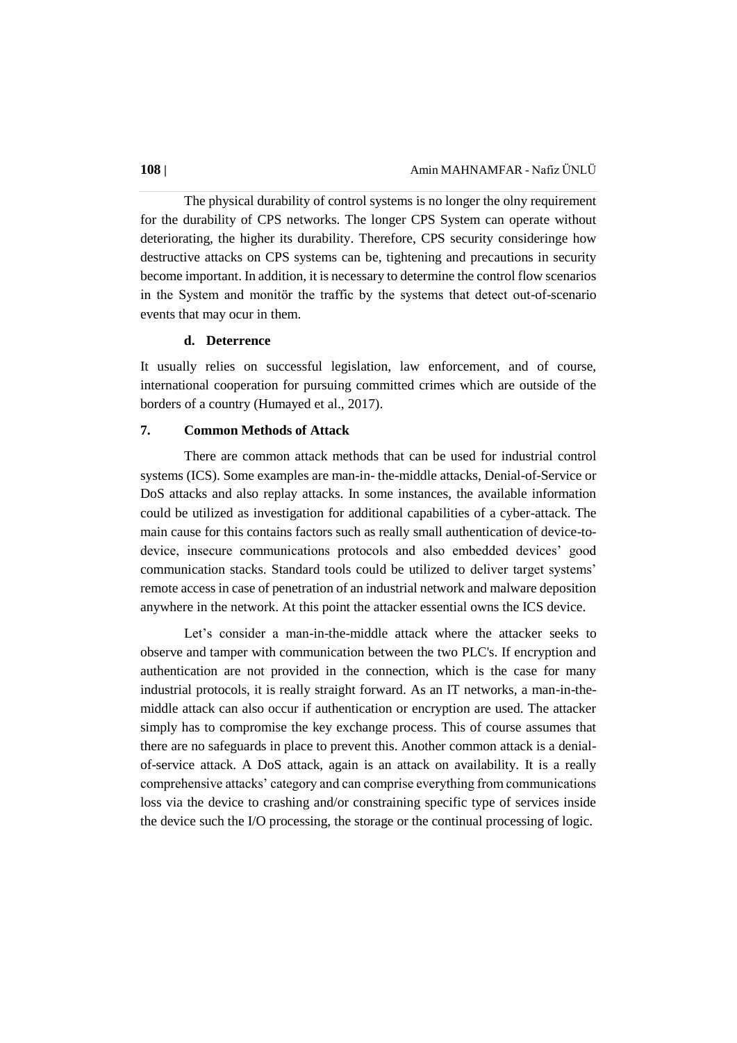The physical durability of control systems is no longer the olny requirement for the durability of CPS networks. The longer CPS System can operate without deteriorating, the higher its durability. Therefore, CPS security consideringe how destructive attacks on CPS systems can be, tightening and precautions in security become important. In addition, it is necessary to determine the control flow scenarios in the System and monitör the traffic by the systems that detect out-of-scenario events that may ocur in them.

#### **d. Deterrence**

It usually relies on successful legislation, law enforcement, and of course, international cooperation for pursuing committed crimes which are outside of the borders of a country (Humayed et al., 2017).

# **7. Common Methods of Attack**

There are common attack methods that can be used for industrial control systems (ICS). Some examples are man-in- the-middle attacks, Denial-of-Service or DoS attacks and also replay attacks. In some instances, the available information could be utilized as investigation for additional capabilities of a cyber-attack. The main cause for this contains factors such as really small authentication of device-todevice, insecure communications protocols and also embedded devices' good communication stacks. Standard tools could be utilized to deliver target systems' remote access in case of penetration of an industrial network and malware deposition anywhere in the network. At this point the attacker essential owns the ICS device.

Let's consider a man-in-the-middle attack where the attacker seeks to observe and tamper with communication between the two PLC's. If encryption and authentication are not provided in the connection, which is the case for many industrial protocols, it is really straight forward. As an IT networks, a man-in-themiddle attack can also occur if authentication or encryption are used. The attacker simply has to compromise the key exchange process. This of course assumes that there are no safeguards in place to prevent this. Another common attack is a denialof-service attack. A DoS attack, again is an attack on availability. It is a really comprehensive attacks' category and can comprise everything from communications loss via the device to crashing and/or constraining specific type of services inside the device such the I/O processing, the storage or the continual processing of logic.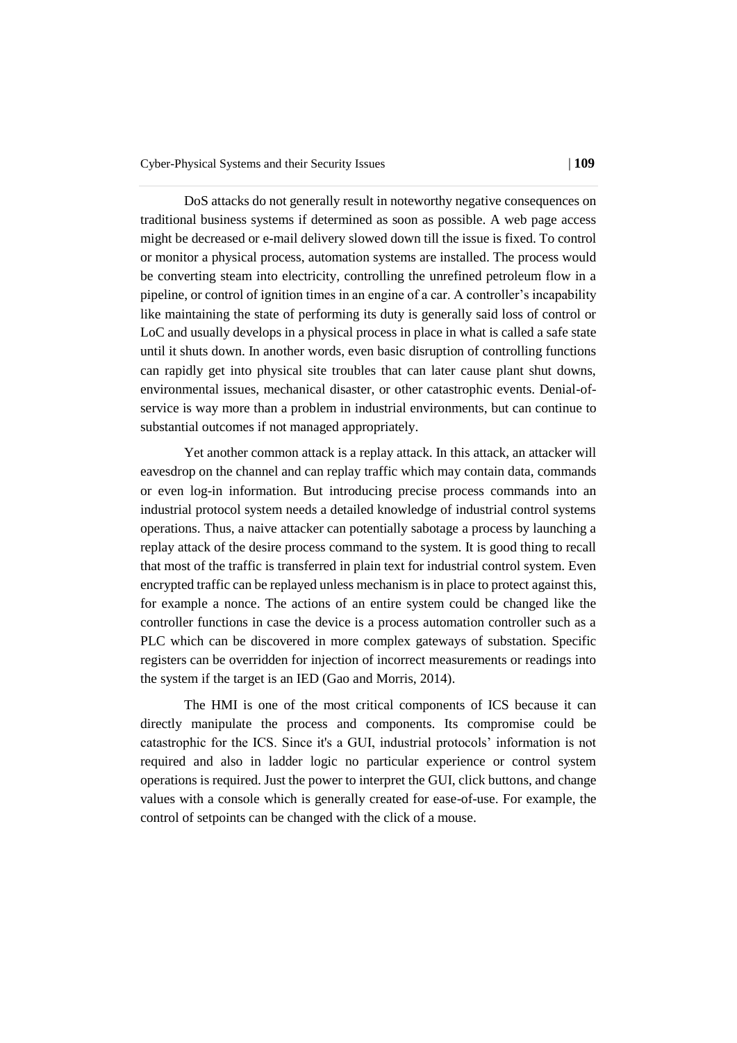DoS attacks do not generally result in noteworthy negative consequences on traditional business systems if determined as soon as possible. A web page access might be decreased or e-mail delivery slowed down till the issue is fixed. To control or monitor a physical process, automation systems are installed. The process would be converting steam into electricity, controlling the unrefined petroleum flow in a pipeline, or control of ignition times in an engine of a car. A controller's incapability like maintaining the state of performing its duty is generally said loss of control or LoC and usually develops in a physical process in place in what is called a safe state until it shuts down. In another words, even basic disruption of controlling functions can rapidly get into physical site troubles that can later cause plant shut downs, environmental issues, mechanical disaster, or other catastrophic events. Denial-ofservice is way more than a problem in industrial environments, but can continue to substantial outcomes if not managed appropriately.

Yet another common attack is a replay attack. In this attack, an attacker will eavesdrop on the channel and can replay traffic which may contain data, commands or even log-in information. But introducing precise process commands into an industrial protocol system needs a detailed knowledge of industrial control systems operations. Thus, a naive attacker can potentially sabotage a process by launching a replay attack of the desire process command to the system. It is good thing to recall that most of the traffic is transferred in plain text for industrial control system. Even encrypted traffic can be replayed unless mechanism is in place to protect against this, for example a nonce. The actions of an entire system could be changed like the controller functions in case the device is a process automation controller such as a PLC which can be discovered in more complex gateways of substation. Specific registers can be overridden for injection of incorrect measurements or readings into the system if the target is an IED (Gao and Morris, 2014).

The HMI is one of the most critical components of ICS because it can directly manipulate the process and components. Its compromise could be catastrophic for the ICS. Since it's a GUI, industrial protocols' information is not required and also in ladder logic no particular experience or control system operations is required. Just the power to interpret the GUI, click buttons, and change values with a console which is generally created for ease-of-use. For example, the control of setpoints can be changed with the click of a mouse.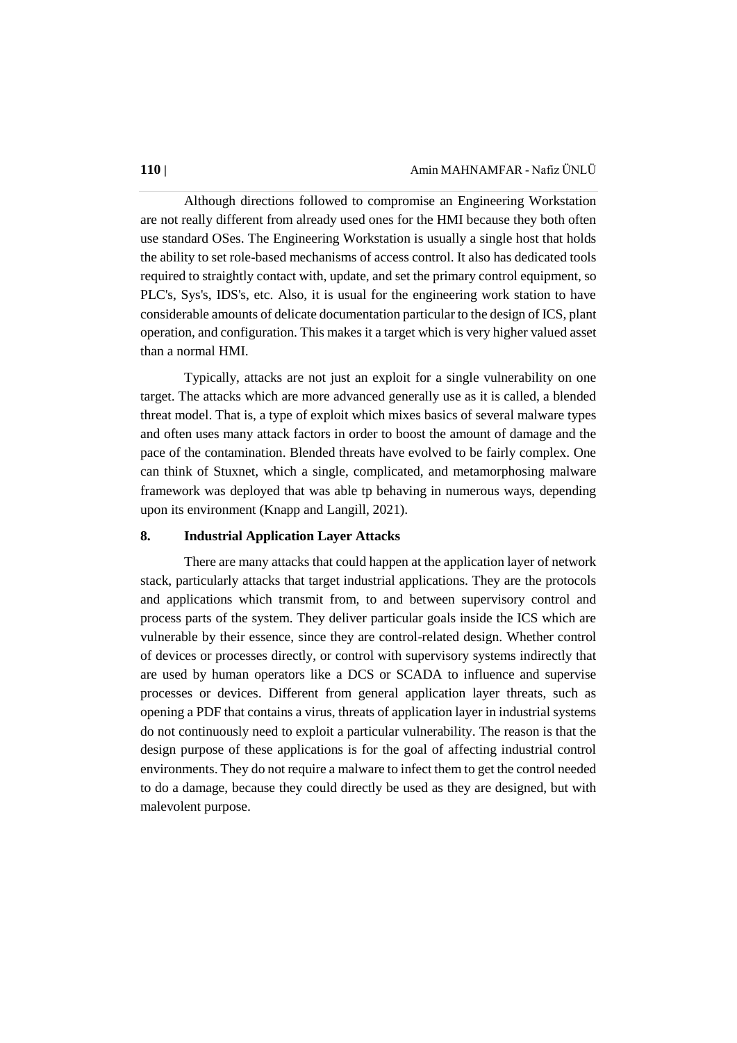Although directions followed to compromise an Engineering Workstation are not really different from already used ones for the HMI because they both often use standard OSes. The Engineering Workstation is usually a single host that holds the ability to set role-based mechanisms of access control. It also has dedicated tools required to straightly contact with, update, and set the primary control equipment, so PLC's, Sys's, IDS's, etc. Also, it is usual for the engineering work station to have considerable amounts of delicate documentation particular to the design of ICS, plant operation, and configuration. This makes it a target which is very higher valued asset than a normal HMI.

Typically, attacks are not just an exploit for a single vulnerability on one target. The attacks which are more advanced generally use as it is called, a blended threat model. That is, a type of exploit which mixes basics of several malware types and often uses many attack factors in order to boost the amount of damage and the pace of the contamination. Blended threats have evolved to be fairly complex. One can think of Stuxnet, which a single, complicated, and metamorphosing malware framework was deployed that was able tp behaving in numerous ways, depending upon its environment (Knapp and Langill, 2021).

# **8. Industrial Application Layer Attacks**

There are many attacks that could happen at the application layer of network stack, particularly attacks that target industrial applications. They are the protocols and applications which transmit from, to and between supervisory control and process parts of the system. They deliver particular goals inside the ICS which are vulnerable by their essence, since they are control-related design. Whether control of devices or processes directly, or control with supervisory systems indirectly that are used by human operators like a DCS or SCADA to influence and supervise processes or devices. Different from general application layer threats, such as opening a PDF that contains a virus, threats of application layer in industrial systems do not continuously need to exploit a particular vulnerability. The reason is that the design purpose of these applications is for the goal of affecting industrial control environments. They do not require a malware to infect them to get the control needed to do a damage, because they could directly be used as they are designed, but with malevolent purpose.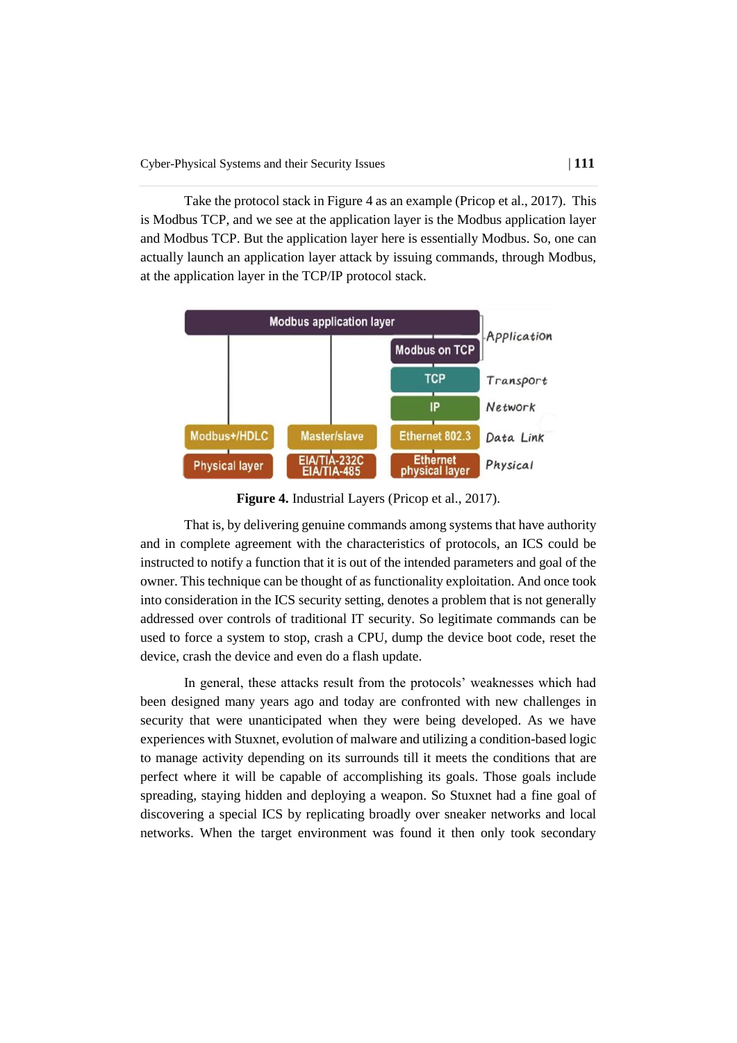Take the protocol stack in Figure 4 as an example (Pricop et al., 2017). This is Modbus TCP, and we see at the application layer is the Modbus application layer and Modbus TCP. But the application layer here is essentially Modbus. So, one can actually launch an application layer attack by issuing commands, through Modbus, at the application layer in the TCP/IP protocol stack.



**Figure 4.** Industrial Layers (Pricop et al., 2017).

That is, by delivering genuine commands among systems that have authority and in complete agreement with the characteristics of protocols, an ICS could be instructed to notify a function that it is out of the intended parameters and goal of the owner. This technique can be thought of as functionality exploitation. And once took into consideration in the ICS security setting, denotes a problem that is not generally addressed over controls of traditional IT security. So legitimate commands can be used to force a system to stop, crash a CPU, dump the device boot code, reset the device, crash the device and even do a flash update.

In general, these attacks result from the protocols' weaknesses which had been designed many years ago and today are confronted with new challenges in security that were unanticipated when they were being developed. As we have experiences with Stuxnet, evolution of malware and utilizing a condition-based logic to manage activity depending on its surrounds till it meets the conditions that are perfect where it will be capable of accomplishing its goals. Those goals include spreading, staying hidden and deploying a weapon. So Stuxnet had a fine goal of discovering a special ICS by replicating broadly over sneaker networks and local networks. When the target environment was found it then only took secondary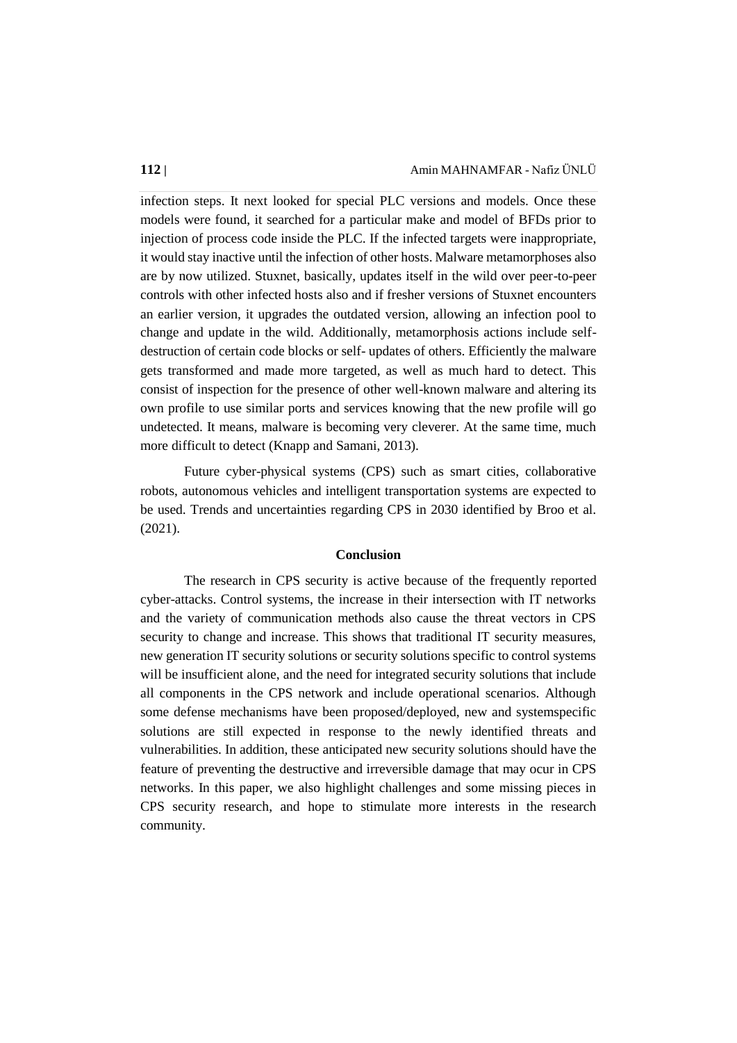infection steps. It next looked for special PLC versions and models. Once these models were found, it searched for a particular make and model of BFDs prior to injection of process code inside the PLC. If the infected targets were inappropriate, it would stay inactive until the infection of other hosts. Malware metamorphoses also are by now utilized. Stuxnet, basically, updates itself in the wild over peer-to-peer controls with other infected hosts also and if fresher versions of Stuxnet encounters an earlier version, it upgrades the outdated version, allowing an infection pool to change and update in the wild. Additionally, metamorphosis actions include selfdestruction of certain code blocks or self- updates of others. Efficiently the malware gets transformed and made more targeted, as well as much hard to detect. This consist of inspection for the presence of other well-known malware and altering its own profile to use similar ports and services knowing that the new profile will go undetected. It means, malware is becoming very cleverer. At the same time, much more difficult to detect (Knapp and Samani, 2013).

Future cyber-physical systems (CPS) such as smart cities, collaborative robots, autonomous vehicles and intelligent transportation systems are expected to be used. Trends and uncertainties regarding CPS in 2030 identified by Broo et al. (2021).

### **Conclusion**

The research in CPS security is active because of the frequently reported cyber-attacks. Control systems, the increase in their intersection with IT networks and the variety of communication methods also cause the threat vectors in CPS security to change and increase. This shows that traditional IT security measures, new generation IT security solutions or security solutions specific to control systems will be insufficient alone, and the need for integrated security solutions that include all components in the CPS network and include operational scenarios. Although some defense mechanisms have been proposed/deployed, new and systemspecific solutions are still expected in response to the newly identified threats and vulnerabilities. In addition, these anticipated new security solutions should have the feature of preventing the destructive and irreversible damage that may ocur in CPS networks. In this paper, we also highlight challenges and some missing pieces in CPS security research, and hope to stimulate more interests in the research community.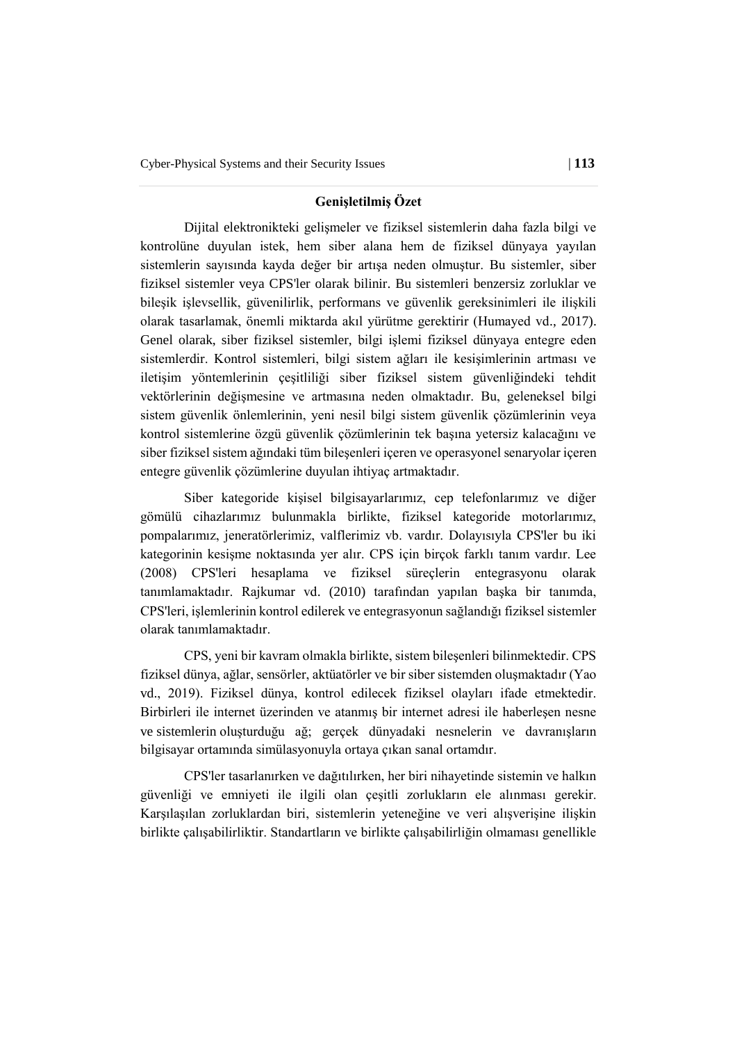### **Genişletilmiş Özet**

Dijital elektronikteki gelişmeler ve fiziksel sistemlerin daha fazla bilgi ve kontrolüne duyulan istek, hem siber alana hem de fiziksel dünyaya yayılan sistemlerin sayısında kayda değer bir artışa neden olmuştur. Bu sistemler, siber fiziksel sistemler veya CPS'ler olarak bilinir. Bu sistemleri benzersiz zorluklar ve bileşik işlevsellik, güvenilirlik, performans ve güvenlik gereksinimleri ile ilişkili olarak tasarlamak, önemli miktarda akıl yürütme gerektirir (Humayed vd., 2017). Genel olarak, siber fiziksel sistemler, bilgi işlemi fiziksel dünyaya entegre eden sistemlerdir. Kontrol sistemleri, bilgi sistem ağları ile kesişimlerinin artması ve iletişim yöntemlerinin çeşitliliği siber fiziksel sistem güvenliğindeki tehdit vektörlerinin değişmesine ve artmasına neden olmaktadır. Bu, geleneksel bilgi sistem güvenlik önlemlerinin, yeni nesil bilgi sistem güvenlik çözümlerinin veya kontrol sistemlerine özgü güvenlik çözümlerinin tek başına yetersiz kalacağını ve siber fiziksel sistem ağındaki tüm bileşenleri içeren ve operasyonel senaryolar içeren entegre güvenlik çözümlerine duyulan ihtiyaç artmaktadır.

Siber kategoride kişisel bilgisayarlarımız, cep telefonlarımız ve diğer gömülü cihazlarımız bulunmakla birlikte, fiziksel kategoride motorlarımız, pompalarımız, jeneratörlerimiz, valflerimiz vb. vardır. Dolayısıyla CPS'ler bu iki kategorinin kesişme noktasında yer alır. CPS için birçok farklı tanım vardır. Lee (2008) CPS'leri hesaplama ve fiziksel süreçlerin entegrasyonu olarak tanımlamaktadır. Rajkumar vd. (2010) tarafından yapılan başka bir tanımda, CPS'leri, işlemlerinin kontrol edilerek ve entegrasyonun sağlandığı fiziksel sistemler olarak tanımlamaktadır.

CPS, yeni bir kavram olmakla birlikte, sistem bileşenleri bilinmektedir. CPS fiziksel dünya, ağlar, sensörler, aktüatörler ve bir siber sistemden oluşmaktadır (Yao vd., 2019). Fiziksel dünya, kontrol edilecek fiziksel olayları ifade etmektedir. Birbirleri ile internet üzerinden ve atanmış bir internet adresi ile haberleşen nesne ve sistemlerin oluşturduğu ağ; gerçek dünyadaki nesnelerin ve davranışların bilgisayar ortamında simülasyonuyla ortaya çıkan sanal ortamdır.

CPS'ler tasarlanırken ve dağıtılırken, her biri nihayetinde sistemin ve halkın güvenliği ve emniyeti ile ilgili olan çeşitli zorlukların ele alınması gerekir. Karşılaşılan zorluklardan biri, sistemlerin yeteneğine ve veri alışverişine ilişkin birlikte çalışabilirliktir. Standartların ve birlikte çalışabilirliğin olmaması genellikle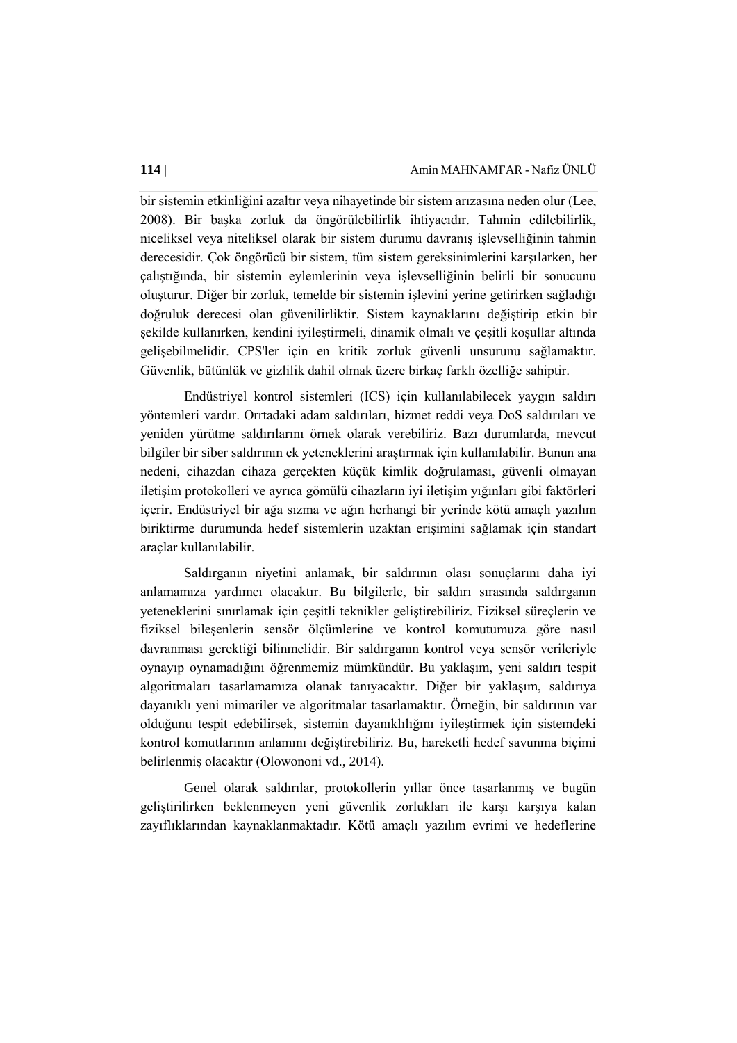bir sistemin etkinliğini azaltır veya nihayetinde bir sistem arızasına neden olur (Lee, 2008). Bir başka zorluk da öngörülebilirlik ihtiyacıdır. Tahmin edilebilirlik, niceliksel veya niteliksel olarak bir sistem durumu davranış işlevselliğinin tahmin derecesidir. Çok öngörücü bir sistem, tüm sistem gereksinimlerini karşılarken, her çalıştığında, bir sistemin eylemlerinin veya işlevselliğinin belirli bir sonucunu oluşturur. Diğer bir zorluk, temelde bir sistemin işlevini yerine getirirken sağladığı doğruluk derecesi olan güvenilirliktir. Sistem kaynaklarını değiştirip etkin bir şekilde kullanırken, kendini iyileştirmeli, dinamik olmalı ve çeşitli koşullar altında gelişebilmelidir. CPS'ler için en kritik zorluk güvenli unsurunu sağlamaktır. Güvenlik, bütünlük ve gizlilik dahil olmak üzere birkaç farklı özelliğe sahiptir.

Endüstriyel kontrol sistemleri (ICS) için kullanılabilecek yaygın saldırı yöntemleri vardır. Orrtadaki adam saldırıları, hizmet reddi veya DoS saldırıları ve yeniden yürütme saldırılarını örnek olarak verebiliriz. Bazı durumlarda, mevcut bilgiler bir siber saldırının ek yeteneklerini araştırmak için kullanılabilir. Bunun ana nedeni, cihazdan cihaza gerçekten küçük kimlik doğrulaması, güvenli olmayan iletişim protokolleri ve ayrıca gömülü cihazların iyi iletişim yığınları gibi faktörleri içerir. Endüstriyel bir ağa sızma ve ağın herhangi bir yerinde kötü amaçlı yazılım biriktirme durumunda hedef sistemlerin uzaktan erişimini sağlamak için standart araçlar kullanılabilir.

Saldırganın niyetini anlamak, bir saldırının olası sonuçlarını daha iyi anlamamıza yardımcı olacaktır. Bu bilgilerle, bir saldırı sırasında saldırganın yeteneklerini sınırlamak için çeşitli teknikler geliştirebiliriz. Fiziksel süreçlerin ve fiziksel bileşenlerin sensör ölçümlerine ve kontrol komutumuza göre nasıl davranması gerektiği bilinmelidir. Bir saldırganın kontrol veya sensör verileriyle oynayıp oynamadığını öğrenmemiz mümkündür. Bu yaklaşım, yeni saldırı tespit algoritmaları tasarlamamıza olanak tanıyacaktır. Diğer bir yaklaşım, saldırıya dayanıklı yeni mimariler ve algoritmalar tasarlamaktır. Örneğin, bir saldırının var olduğunu tespit edebilirsek, sistemin dayanıklılığını iyileştirmek için sistemdeki kontrol komutlarının anlamını değiştirebiliriz. Bu, hareketli hedef savunma biçimi belirlenmiş olacaktır (Olowononi vd., 2014).

Genel olarak saldırılar, protokollerin yıllar önce tasarlanmış ve bugün geliştirilirken beklenmeyen yeni güvenlik zorlukları ile karşı karşıya kalan zayıflıklarından kaynaklanmaktadır. Kötü amaçlı yazılım evrimi ve hedeflerine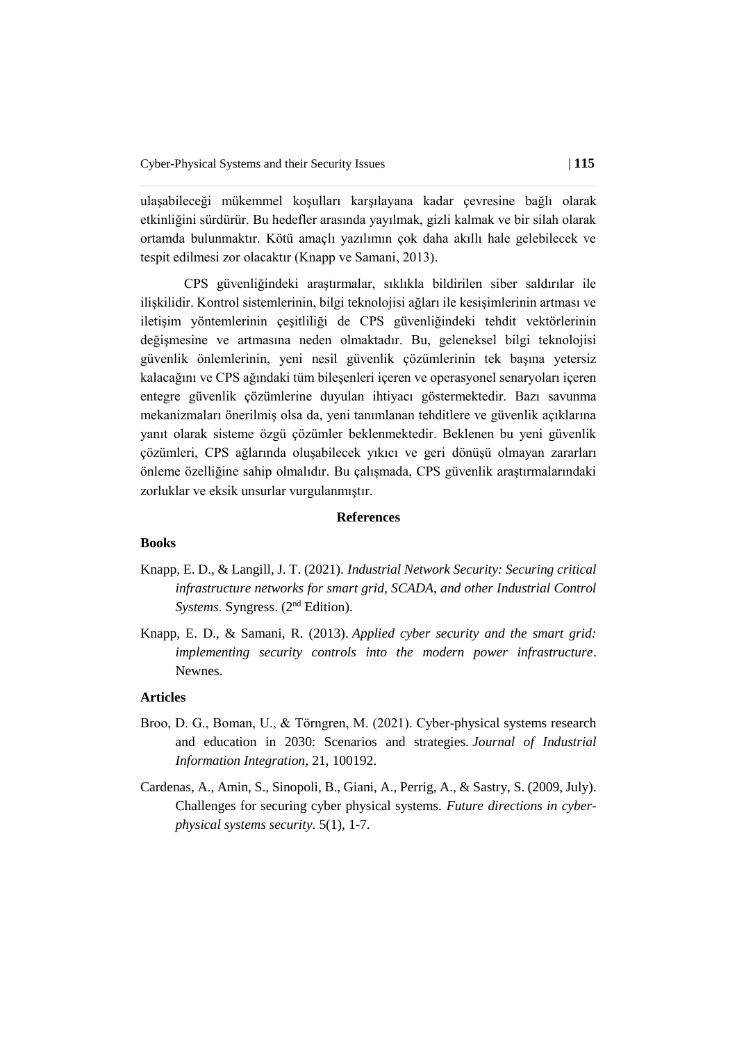ulaşabileceği mükemmel koşulları karşılayana kadar çevresine bağlı olarak etkinliğini sürdürür. Bu hedefler arasında yayılmak, gizli kalmak ve bir silah olarak ortamda bulunmaktır. Kötü amaçlı yazılımın çok daha akıllı hale gelebilecek ve tespit edilmesi zor olacaktır (Knapp ve Samani, 2013).

CPS güvenliğindeki araştırmalar, sıklıkla bildirilen siber saldırılar ile ilişkilidir. Kontrol sistemlerinin, bilgi teknolojisi ağları ile kesişimlerinin artması ve iletişim yöntemlerinin çeşitliliği de CPS güvenliğindeki tehdit vektörlerinin değişmesine ve artmasına neden olmaktadır. Bu, geleneksel bilgi teknolojisi güvenlik önlemlerinin, yeni nesil güvenlik çözümlerinin tek başına yetersiz kalacağını ve CPS ağındaki tüm bileşenleri içeren ve operasyonel senaryoları içeren entegre güvenlik çözümlerine duyulan ihtiyacı göstermektedir. Bazı savunma mekanizmaları önerilmiş olsa da, yeni tanımlanan tehditlere ve güvenlik açıklarına yanıt olarak sisteme özgü çözümler beklenmektedir. Beklenen bu yeni güvenlik çözümleri, CPS ağlarında oluşabilecek yıkıcı ve geri dönüşü olmayan zararları önleme özelliğine sahip olmalıdır. Bu çalışmada, CPS güvenlik araştırmalarındaki zorluklar ve eksik unsurlar vurgulanmıştır.

#### **References**

#### **Books**

- Knapp, E. D., & Langill, J. T. (2021). *Industrial Network Security: Securing critical infrastructure networks for smart grid, SCADA, and other Industrial Control Systems*. Syngress. (2<sup>nd</sup> Edition).
- Knapp, E. D., & Samani, R. (2013). *Applied cyber security and the smart grid: implementing security controls into the modern power infrastructure*. Newnes.

#### **Articles**

- Broo, D. G., Boman, U., & Törngren, M. (2021). Cyber-physical systems research and education in 2030: Scenarios and strategies. *Journal of Industrial Information Integration,* 21, 100192.
- Cardenas, A., Amin, S., Sinopoli, B., Giani, A., Perrig, A., & Sastry, S. (2009, July). Challenges for securing cyber physical systems. *Future directions in cyberphysical systems security.* 5(1), 1-7.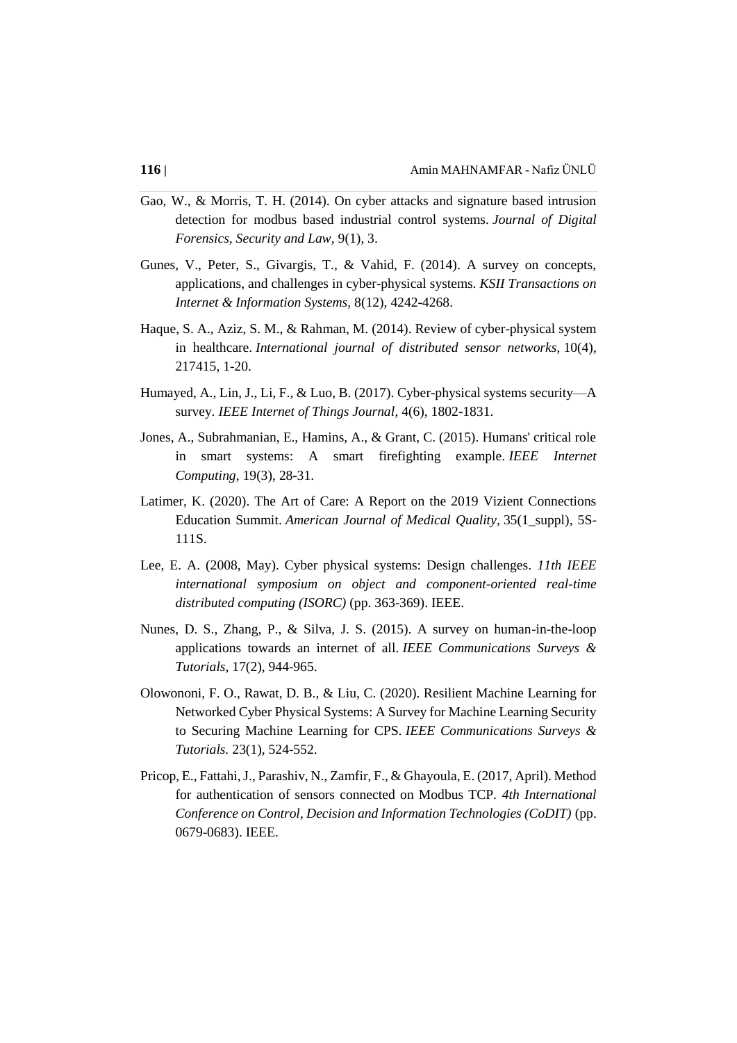- Gao, W., & Morris, T. H. (2014). On cyber attacks and signature based intrusion detection for modbus based industrial control systems. *Journal of Digital Forensics, Security and Law,* 9(1), 3.
- Gunes, V., Peter, S., Givargis, T., & Vahid, F. (2014). A survey on concepts, applications, and challenges in cyber-physical systems. *KSII Transactions on Internet & Information Systems,* 8(12), 4242-4268.
- Haque, S. A., Aziz, S. M., & Rahman, M. (2014). Review of cyber-physical system in healthcare. *International journal of distributed sensor networks*, 10(4), 217415, 1-20.
- Humayed, A., Lin, J., Li, F., & Luo, B. (2017). Cyber-physical systems security—A survey. *IEEE Internet of Things Journal*, 4(6), 1802-1831.
- Jones, A., Subrahmanian, E., Hamins, A., & Grant, C. (2015). Humans' critical role in smart systems: A smart firefighting example. *IEEE Internet Computing*, 19(3), 28-31.
- Latimer, K. (2020). The Art of Care: A Report on the 2019 Vizient Connections Education Summit. *American Journal of Medical Quality,* 35(1\_suppl), 5S-111S.
- Lee, E. A. (2008, May). Cyber physical systems: Design challenges. *11th IEEE international symposium on object and component-oriented real-time distributed computing (ISORC)* (pp. 363-369). IEEE.
- Nunes, D. S., Zhang, P., & Silva, J. S. (2015). A survey on human-in-the-loop applications towards an internet of all. *IEEE Communications Surveys & Tutorials*, 17(2), 944-965.
- Olowononi, F. O., Rawat, D. B., & Liu, C. (2020). Resilient Machine Learning for Networked Cyber Physical Systems: A Survey for Machine Learning Security to Securing Machine Learning for CPS. *IEEE Communications Surveys & Tutorials.* 23(1), 524-552.
- Pricop, E., Fattahi, J., Parashiv, N., Zamfir, F., & Ghayoula, E. (2017, April). Method for authentication of sensors connected on Modbus TCP. *4th International Conference on Control, Decision and Information Technologies (CoDIT)* (pp. 0679-0683). IEEE.